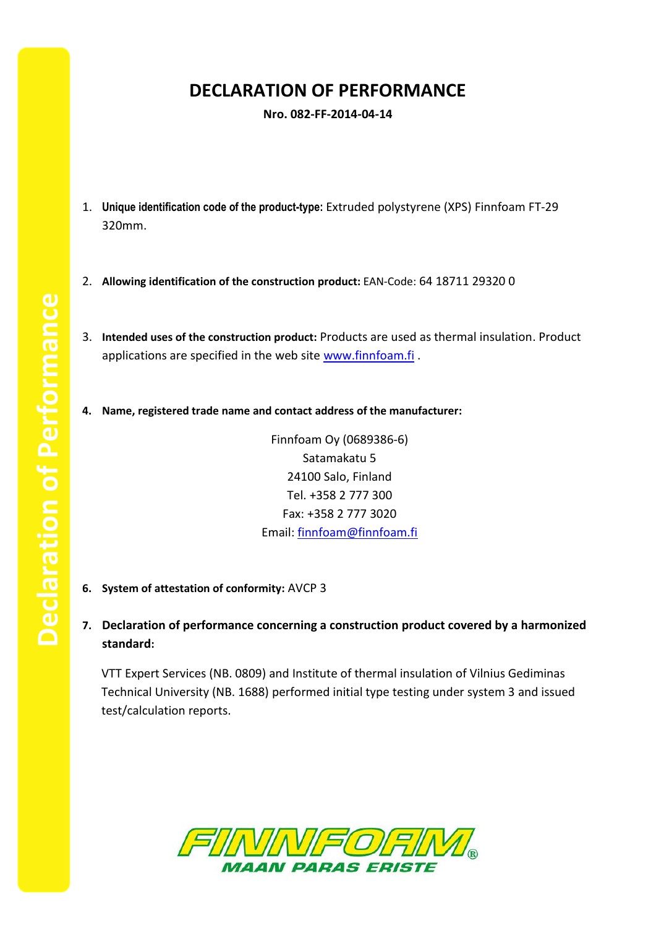## **DECLARATION OF PERFORMANCE**

**Nro. 082-FF-2014-04-14**

- 1. **Unique identification code of the product-type:** Extruded polystyrene (XPS) Finnfoam FT-29 320mm.
- 2. **Allowing identification of the construction product:** EAN-Code: 64 18711 29320 0
- 3. **Intended uses of the construction product:** Products are used as thermal insulation. Product applications are specified in the web site [www.finnfoam.fi](http://www.finnfoam.fi/).
- **4. Name, registered trade name and contact address of the manufacturer:**

Finnfoam Oy (0689386-6) Satamakatu 5 24100 Salo, Finland Tel. +358 2 777 300 Fax: +358 2 777 3020 Email: [finnfoam@finnfoam.fi](mailto:finnfoam@finnfoam.fi)

- **6. System of attestation of conformity:** AVCP 3
- **7. Declaration of performance concerning a construction product covered by a harmonized standard:**

VTT Expert Services (NB. 0809) and Institute of thermal insulation of Vilnius Gediminas Technical University (NB. 1688) performed initial type testing under system 3 and issued test/calculation reports.